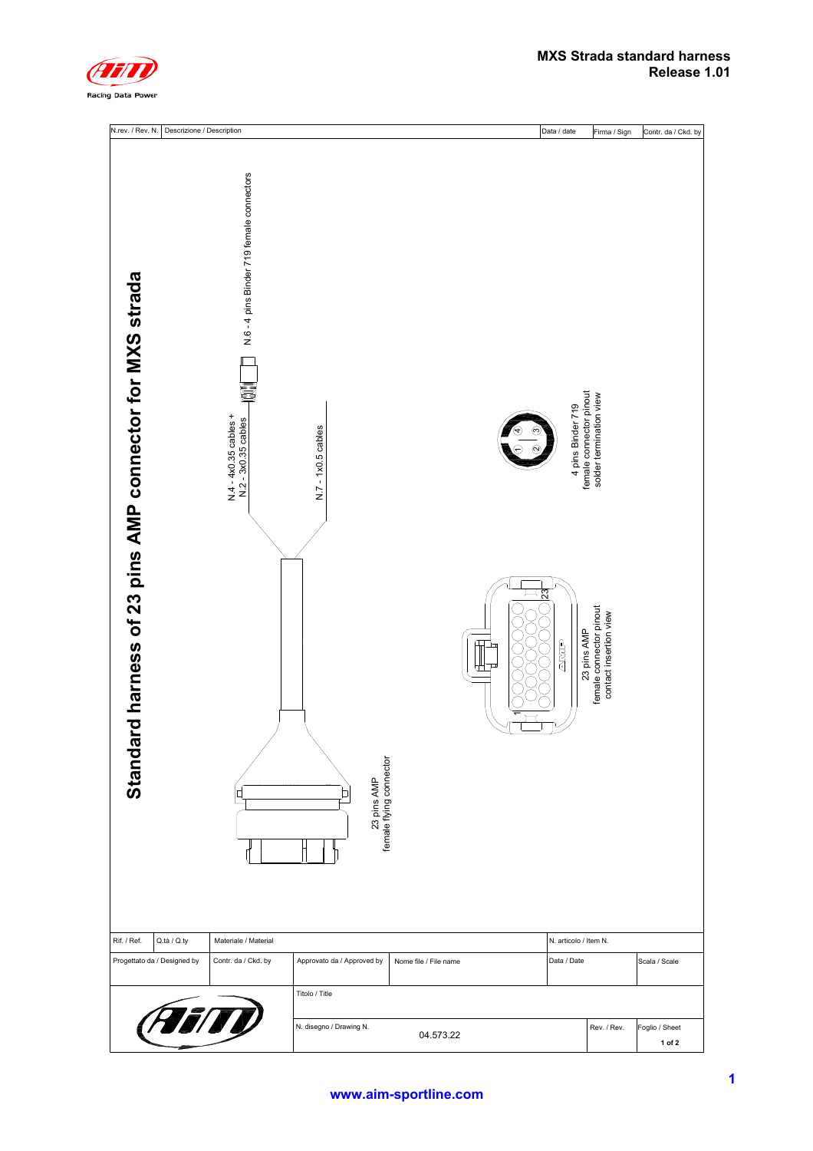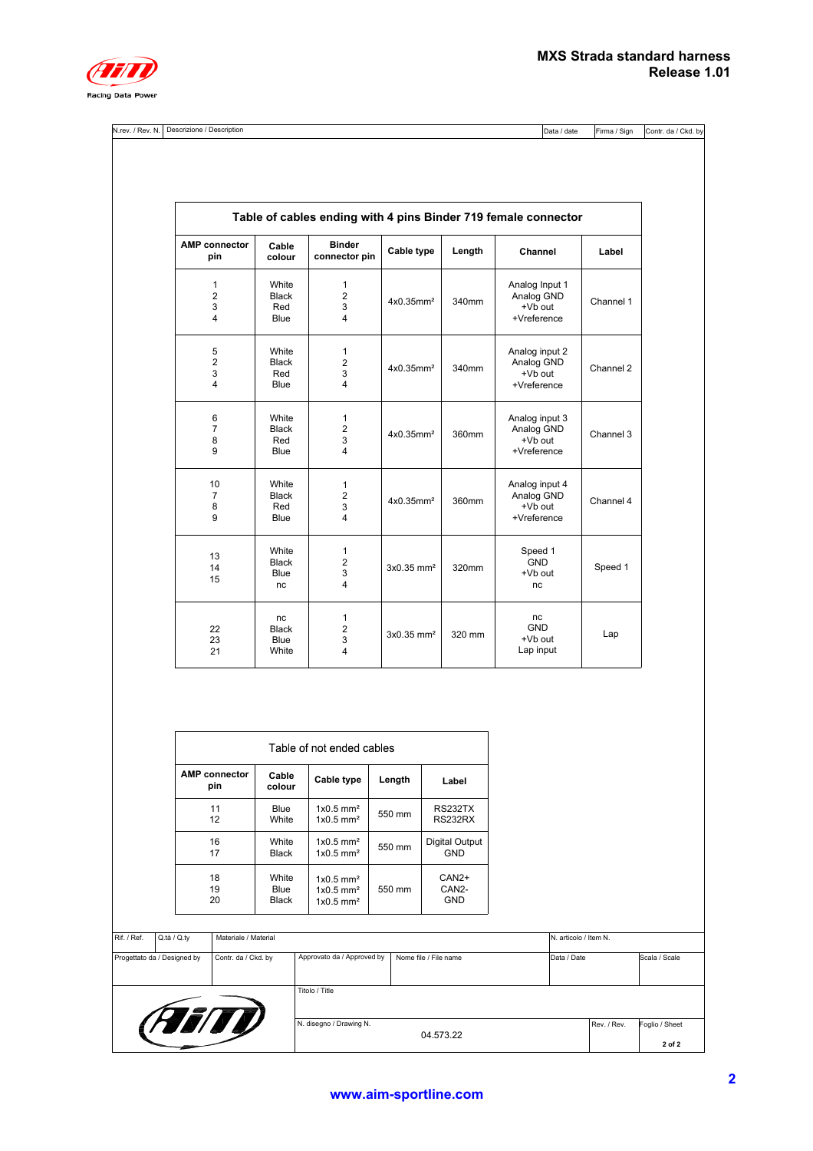| ' Rev<br>N.rev.<br>N<br>. | ' Description<br><b>Descrizione</b> | IData,<br>' date | ╺<br>IFirma<br>Sian |
|---------------------------|-------------------------------------|------------------|---------------------|
|---------------------------|-------------------------------------|------------------|---------------------|

Firma / Sign Contr. da / Ckd. by

|                                                     |                                      |                                            |                          |        | Table of cables ending with 4 pins Binder 719 female connector |           |
|-----------------------------------------------------|--------------------------------------|--------------------------------------------|--------------------------|--------|----------------------------------------------------------------|-----------|
| <b>AMP</b> connector<br>pin                         | Cable<br>colour                      | <b>Binder</b><br>connector pin             | Cable type               | Length | Channel                                                        | Label     |
| 1<br>$\overline{2}$<br>3<br>4                       | White<br><b>Black</b><br>Red<br>Blue | 1<br>$\overline{2}$<br>3<br>$\overline{4}$ | 4x0.35mm <sup>2</sup>    | 340mm  | Analog Input 1<br>Analog GND<br>+Vb out<br>+Vreference         | Channel 1 |
| 5<br>$\overline{\mathbf{c}}$<br>3<br>$\overline{4}$ | White<br><b>Black</b><br>Red<br>Blue | 1<br>$\overline{c}$<br>3<br>4              | 4x0.35mm <sup>2</sup>    | 340mm  | Analog input 2<br>Analog GND<br>+Vb out<br>+Vreference         | Channel 2 |
| 6<br>$\overline{7}$<br>8<br>9                       | White<br><b>Black</b><br>Red<br>Blue | $\mathbf{1}$<br>$\overline{2}$<br>3<br>4   | 4x0.35mm <sup>2</sup>    | 360mm  | Analog input 3<br>Analog GND<br>+Vb out<br>+Vreference         | Channel 3 |
| 10<br>$\overline{7}$<br>8<br>9                      | White<br><b>Black</b><br>Red<br>Blue | 1<br>$\overline{2}$<br>3<br>4              | $4x0.35$ mm <sup>2</sup> | 360mm  | Analog input 4<br>Analog GND<br>+Vb out<br>+Vreference         | Channel 4 |
| 13<br>14<br>15                                      | White<br><b>Black</b><br>Blue<br>nc  | 1<br>$\overline{2}$<br>3<br>$\overline{4}$ | 3x0.35 mm <sup>2</sup>   | 320mm  | Speed 1<br><b>GND</b><br>+Vb out<br>nc                         | Speed 1   |
| 22<br>23<br>21                                      | nc<br><b>Black</b><br>Blue<br>White  | $\mathbf{1}$<br>$\overline{2}$<br>3<br>4   | $3x0.35$ mm <sup>2</sup> | 320 mm | nc<br><b>GND</b><br>+Vb out<br>Lap input                       | Lap       |

| Table of not ended cables   |                        |                                                                               |        |                                             |  |  |  |  |  |
|-----------------------------|------------------------|-------------------------------------------------------------------------------|--------|---------------------------------------------|--|--|--|--|--|
| <b>AMP</b> connector<br>pin | Cable<br>colour        | Cable type                                                                    | Length | Label                                       |  |  |  |  |  |
| 11<br>12                    | Blue<br>White          | $1x0.5$ mm <sup>2</sup><br>$1x0.5$ mm <sup>2</sup>                            | 550 mm | RS232TX<br>RS232RX                          |  |  |  |  |  |
| 16<br>17                    | White<br>Black         | $1x0.5$ mm <sup>2</sup><br>$1x0.5$ mm <sup>2</sup>                            | 550 mm | Digital Output<br><b>GND</b>                |  |  |  |  |  |
| 18<br>19<br>20              | White<br>Blue<br>Black | $1x0.5$ mm <sup>2</sup><br>$1x0.5$ mm <sup>2</sup><br>$1x0.5$ mm <sup>2</sup> | 550 mm | $CAN2+$<br>CAN <sub>2</sub> -<br><b>GND</b> |  |  |  |  |  |

| Rif. / Ref. | Q.tà / Q.ty                 | Materiale / Material |                            |                       |             |             | N. articolo / Item N.    |  |  |
|-------------|-----------------------------|----------------------|----------------------------|-----------------------|-------------|-------------|--------------------------|--|--|
|             | Progettato da / Designed by | Contr. da / Ckd. by  | Approvato da / Approved by | Nome file / File name | Data / Date |             | Scala / Scale            |  |  |
|             |                             | Titolo / Title       |                            |                       |             |             |                          |  |  |
| (FEITY)     |                             |                      | N. disegno / Drawing N.    | 04.573.22             |             | Rev. / Rev. | Foglio / Sheet<br>2 of 2 |  |  |
|             |                             |                      |                            |                       |             |             |                          |  |  |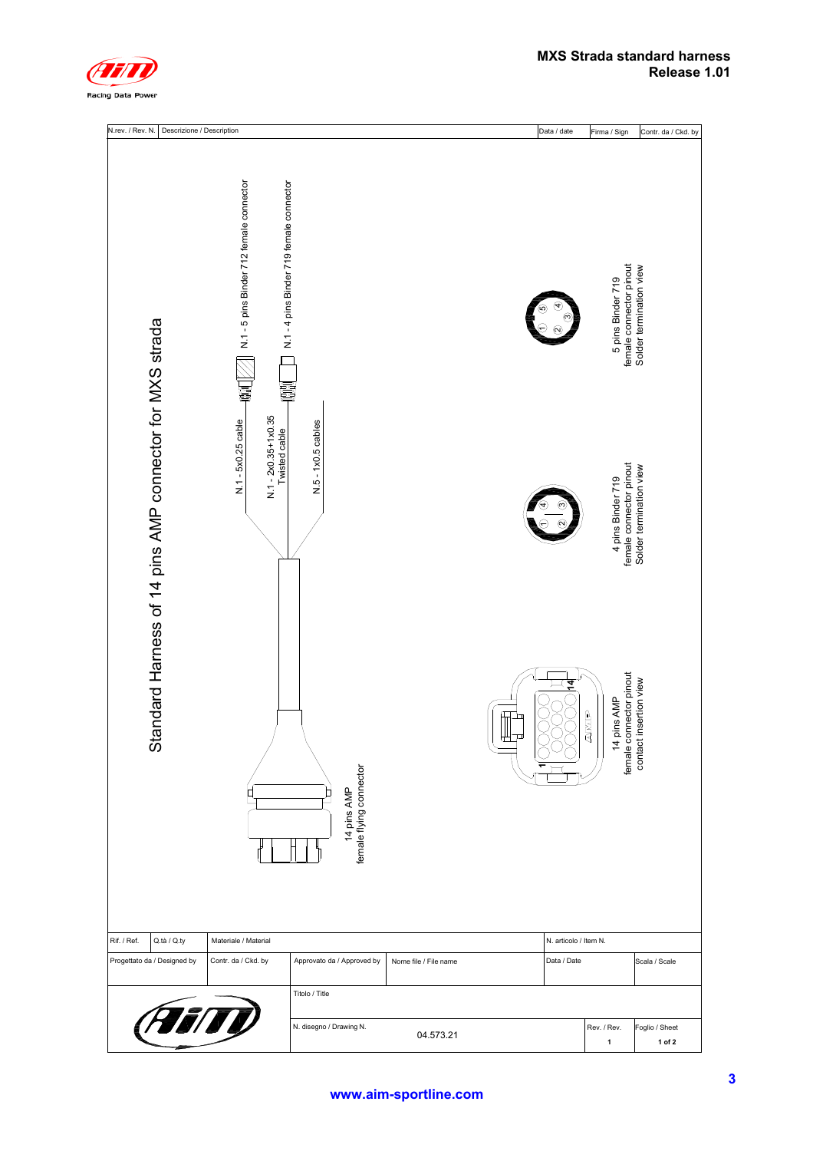

| N.rev. / Rev. N.<br>Descrizione / Description            |                                                                                                                                                           |                                                              |                       |        | Data / date           | Firma / Sign                                                                                                                                                                     | Contr. da / Ckd. by                                |
|----------------------------------------------------------|-----------------------------------------------------------------------------------------------------------------------------------------------------------|--------------------------------------------------------------|-----------------------|--------|-----------------------|----------------------------------------------------------------------------------------------------------------------------------------------------------------------------------|----------------------------------------------------|
| Standard Harness of 14 pins AMP connector for MXS strada | N.1 - 5 pins Binder 712 female connector<br>N.1-4 pins Binder 719 female connector<br>큷<br>$N.1 - 2x0.35 + 1x0.35$<br>N.1 - 5x0.25 cable<br>Twisted cable | N.5 - 1x0.5 cables<br>14 pins AMP<br>female flying connector |                       | ₩<br>ᄆ | 14                    | female connector pinout<br>5 pins Binder 719<br>female connector pinout<br>4 pins Binder 719<br>female connector pinout<br>contact insertion view<br>14 pins AMP<br><b>EINIA</b> | Solder termination view<br>Solder termination view |
| Rif. / Ref.<br>Q.tà / Q.ty                               | Materiale / Material                                                                                                                                      |                                                              |                       |        | N. articolo / Item N. |                                                                                                                                                                                  |                                                    |
|                                                          |                                                                                                                                                           |                                                              |                       |        |                       |                                                                                                                                                                                  |                                                    |
| Progettato da / Designed by                              | Contr. da / Ckd. by                                                                                                                                       | Approvato da / Approved by<br>Titolo / Title                 | Nome file / File name |        | Data / Date           |                                                                                                                                                                                  | Scala / Scale                                      |
|                                                          |                                                                                                                                                           |                                                              |                       |        |                       |                                                                                                                                                                                  |                                                    |
|                                                          | <i>i i n</i>                                                                                                                                              | N. disegno / Drawing N.                                      | 04.573.21             |        |                       | Rev. / Rev.<br>$\mathbf{1}$                                                                                                                                                      | Foglio / Sheet<br>1 of 2                           |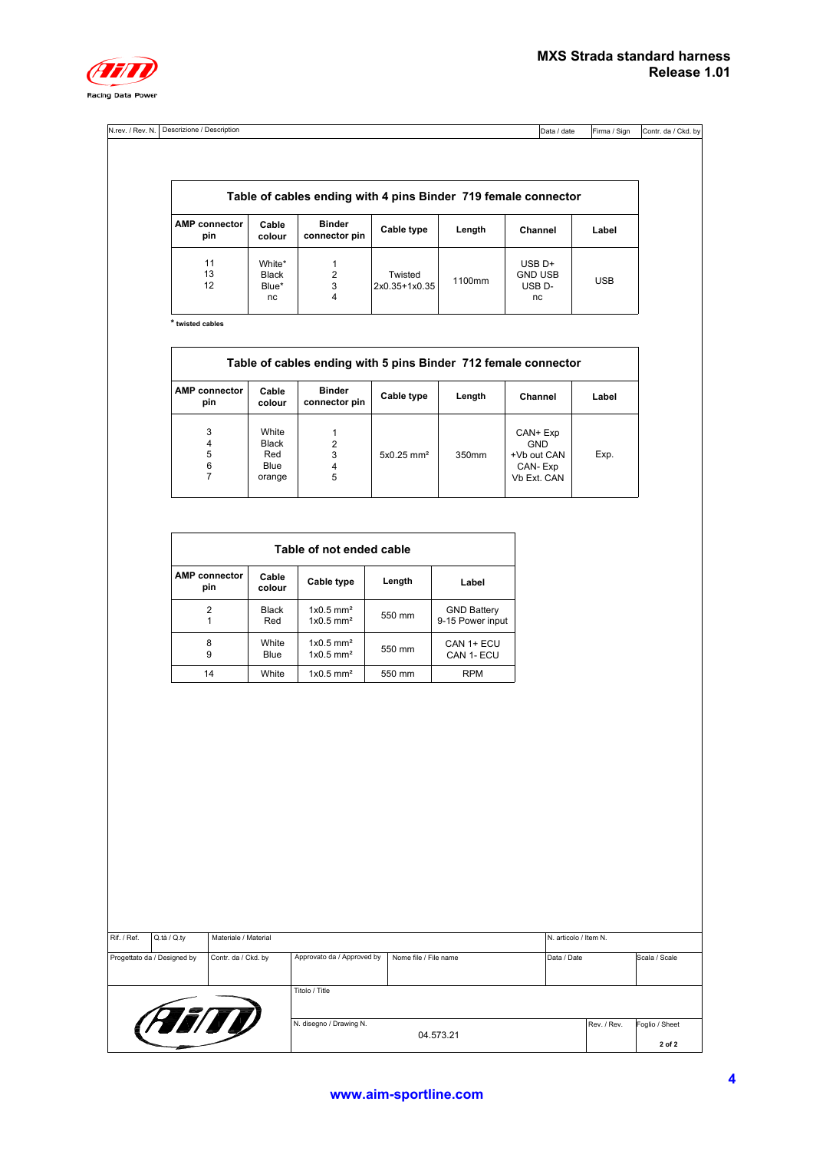

| N.rev. / Rev. N. | / Description<br>Descrizione, | IData / date | Firma / Sign | Contr.<br>Ckd.<br>.bv<br>. da |
|------------------|-------------------------------|--------------|--------------|-------------------------------|
|                  |                               |              |              |                               |

| Table of cables ending with 4 pins Binder 719 female connector |                                |                                |                          |        |                                                        |            |  |  |
|----------------------------------------------------------------|--------------------------------|--------------------------------|--------------------------|--------|--------------------------------------------------------|------------|--|--|
| <b>AMP</b> connector<br>pin                                    | Cable<br>colour                | <b>Binder</b><br>connector pin | Cable type               | Length | Channel                                                | Label      |  |  |
| 11<br>13<br>12                                                 | White*<br>Black<br>Blue*<br>nc | 2<br>3<br>4                    | Twisted<br>2x0.35+1x0.35 | 1100mm | $USB$ D+<br><b>GND USB</b><br>USB <sub>D</sub> -<br>nc | <b>USB</b> |  |  |

**\* twisted cables**

| Table of cables ending with 5 pins Binder 712 female connector |                                         |                                |                          |        |                                                          |       |  |  |  |  |
|----------------------------------------------------------------|-----------------------------------------|--------------------------------|--------------------------|--------|----------------------------------------------------------|-------|--|--|--|--|
| <b>AMP</b> connector<br>pin                                    | Cable<br>colour                         | <b>Binder</b><br>connector pin | Cable type               | Length | Channel                                                  | Label |  |  |  |  |
| 3<br>4<br>5<br>6<br>7                                          | White<br>Black<br>Red<br>Blue<br>orange | 2<br>3<br>4<br>5               | $5x0.25$ mm <sup>2</sup> | 350mm  | CAN+ Exp<br>GND<br>+Vb out CAN<br>CAN-Exp<br>Vb Ext. CAN | Exp.  |  |  |  |  |

| Table of not ended cable    |                 |                                                    |        |                                        |  |  |  |  |  |
|-----------------------------|-----------------|----------------------------------------------------|--------|----------------------------------------|--|--|--|--|--|
| <b>AMP</b> connector<br>pin | Cable<br>colour | Cable type                                         | Length | Label                                  |  |  |  |  |  |
| 2                           | Black<br>Red    | $1x0.5$ mm <sup>2</sup><br>$1x0.5$ mm <sup>2</sup> | 550 mm | <b>GND Battery</b><br>9-15 Power input |  |  |  |  |  |
| 8<br>9                      | White<br>Blue   | $1x0.5$ mm <sup>2</sup><br>$1x0.5$ mm <sup>2</sup> | 550 mm | CAN 1+ ECU<br>CAN 1- ECU               |  |  |  |  |  |
| 14                          | White           | $1x0.5$ mm <sup>2</sup>                            | 550 mm | <b>RPM</b>                             |  |  |  |  |  |

| Rif. / Ref. | Q.tà / Q.ty                 | Materiale / Material    |                            |                       |             |                          | N. articolo / Item N. |  |  |
|-------------|-----------------------------|-------------------------|----------------------------|-----------------------|-------------|--------------------------|-----------------------|--|--|
|             | Progettato da / Designed by | Contr. da / Ckd. by     | Approvato da / Approved by | Nome file / File name | Data / Date |                          | Scala / Scale         |  |  |
|             |                             |                         | Titolo / Title             |                       |             |                          |                       |  |  |
| (FEITY)     |                             | N. disegno / Drawing N. | 04.573.21                  |                       | Rev. / Rev. | Foglio / Sheet<br>2 of 2 |                       |  |  |